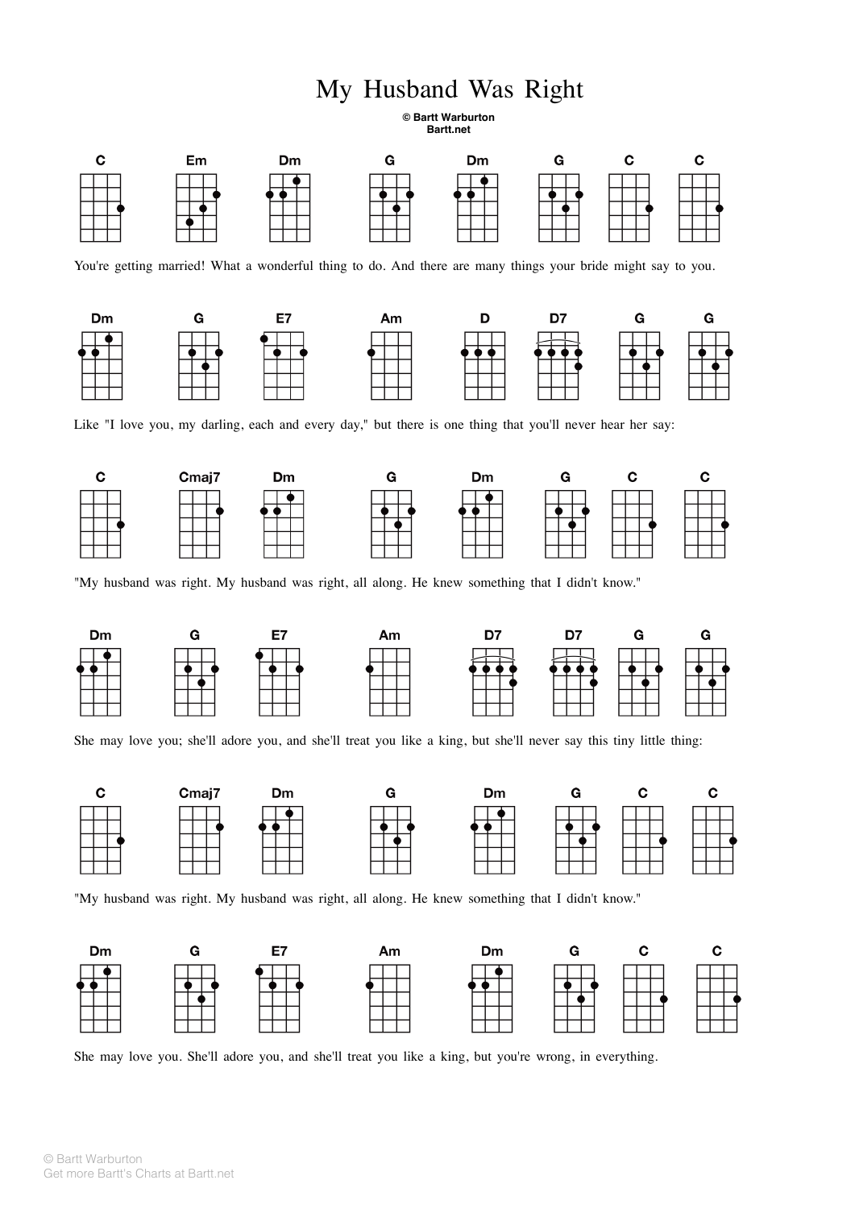## My Husband Was Right

**© Bartt Warburton Bartt.net**



You're getting married! What a wonderful thing to do. And there are many things your bride might say to you.



Like "I love you, my darling, each and every day," but there is one thing that you'll never hear her say:



"My husband was right. My husband was right, all along. He knew something that I didn't know."



She may love you; she'll adore you, and she'll treat you like a king, but she'll never say this tiny little thing:



"My husband was right. My husband was right, all along. He knew something that I didn't know."



She may love you. She'll adore you, and she'll treat you like a king, but you're wrong, in everything.

© Bartt Warburton Get more Bartt's Charts at Bartt.net